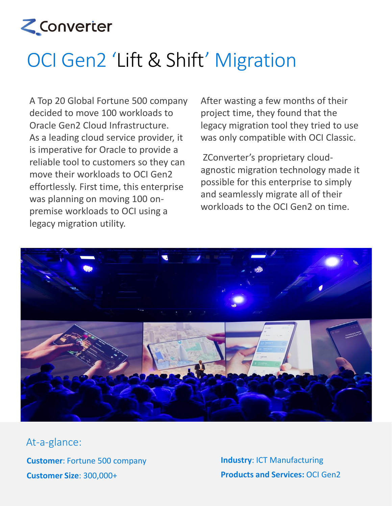

## OCI Gen2 'Lift & Shift' Migration

A Top 20 Global Fortune 500 company decided to move 100 workloads to Oracle Gen2 Cloud Infrastructure. As a leading cloud service provider, it is imperative for Oracle to provide a reliable tool to customers so they can move their workloads to OCI Gen2 effortlessly. First time, this enterprise was planning on moving 100 onpremise workloads to OCI using a legacy migration utility.

After wasting a few months of their project time, they found that the legacy migration tool they tried to use was only compatible with OCI Classic.

ZConverter's proprietary cloudagnostic migration technology made it possible for this enterprise to simply and seamlessly migrate all of their workloads to the OCI Gen2 on time.



**Customer**: Fortune 500 company **Customer Size**: 300,000+ At-a-glance:

**Industry**: ICT Manufacturing **Products and Services:** OCI Gen2